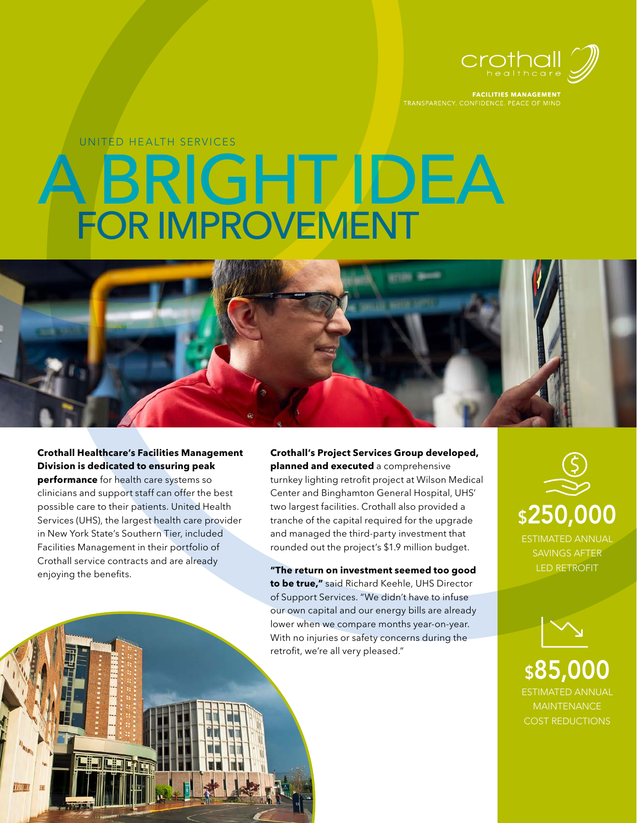

**FACILITIES MANAGEMENT** TRANSPARENCY. CONFIDENCE. PEACE OF MIND

# A BRIGHT IDEA FOR IMPROVEMENT UNITED HEALTH SERVICES



**performance** for health care systems so clinicians and support staff can offer the best possible care to their patients. United Health Services (UHS), the largest health care provider in New York State's Southern Tier, included Facilities Management in their portfolio of Crothall service contracts and are already enjoying the benefits.

**THUL II** 

**Crothall's Project Services Group developed, planned and executed** a comprehensive turnkey lighting retrofit project at Wilson Medical Center and Binghamton General Hospital, UHS' two largest facilities. Crothall also provided a tranche of the capital required for the upgrade and managed the third-party investment that rounded out the project's \$1.9 million budget.

**"The return on investment seemed too good to be true,"** said Richard Keehle, UHS Director of Support Services. "We didn't have to infuse our own capital and our energy bills are already lower when we compare months year-on-year. With no injuries or safety concerns during the retrofit, we're all very pleased."





ESTIMATED ANNUAL MAINTENANCE COST REDUCTIONS \$85,000